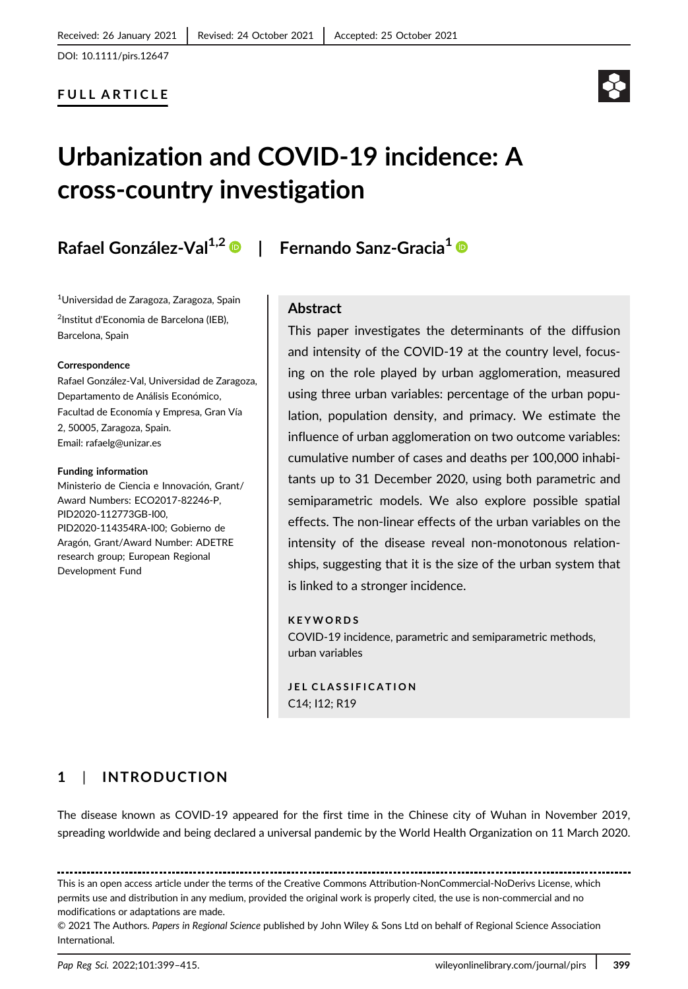### FULL ARTICLE

# Urbanization and COVID-19 incidence: A cross-country investigation

## Rafael González-Val<sup>1,2</sup> <sup>®</sup> | Fernando Sanz-Gracia<sup>1</sup> <sup>®</sup>

1 Universidad de Zaragoza, Zaragoza, Spain <sup>2</sup>Institut d'Economia de Barcelona (IEB), Barcelona, Spain

#### Correspondence

Rafael González-Val, Universidad de Zaragoza, Departamento de Análisis Económico, Facultad de Economía y Empresa, Gran Vía 2, 50005, Zaragoza, Spain. Email: [rafaelg@unizar.es](mailto:rafaelg@unizar.es)

#### Funding information

Ministerio de Ciencia e Innovación, Grant/ Award Numbers: ECO2017-82246-P, PID2020-112773GB-I00, PID2020-114354RA-I00; Gobierno de Aragón, Grant/Award Number: ADETRE research group; European Regional Development Fund

#### Abstract

This paper investigates the determinants of the diffusion and intensity of the COVID-19 at the country level, focusing on the role played by urban agglomeration, measured using three urban variables: percentage of the urban population, population density, and primacy. We estimate the influence of urban agglomeration on two outcome variables: cumulative number of cases and deaths per 100,000 inhabitants up to 31 December 2020, using both parametric and semiparametric models. We also explore possible spatial effects. The non-linear effects of the urban variables on the intensity of the disease reveal non-monotonous relationships, suggesting that it is the size of the urban system that is linked to a stronger incidence.

#### KEYWORDS

COVID-19 incidence, parametric and semiparametric methods, urban variables

JEL CLASSIFICATION C14; I12; R19

### 1 | INTRODUCTION

The disease known as COVID-19 appeared for the first time in the Chinese city of Wuhan in November 2019, spreading worldwide and being declared a universal pandemic by the World Health Organization on 11 March 2020.

This is an open access article under the terms of the [Creative Commons Attribution-NonCommercial-NoDerivs](http://creativecommons.org/licenses/by-nc-nd/4.0/) License, which permits use and distribution in any medium, provided the original work is properly cited, the use is non-commercial and no

modifications or adaptations are made.

© 2021 The Authors. Papers in Regional Science published by John Wiley & Sons Ltd on behalf of Regional Science Association International.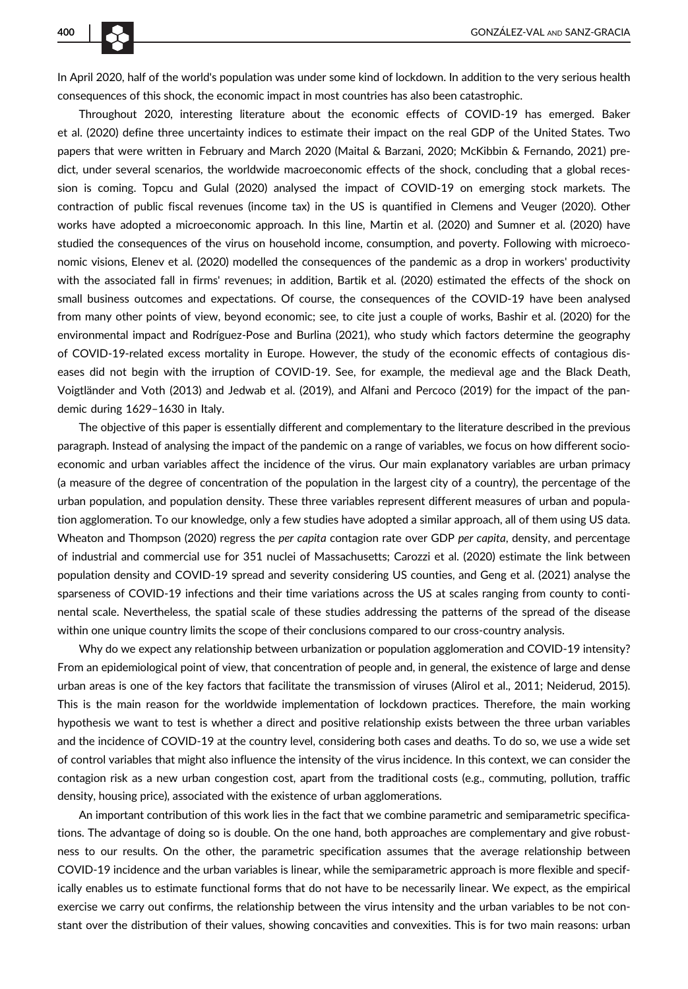In April 2020, half of the world's population was under some kind of lockdown. In addition to the very serious health consequences of this shock, the economic impact in most countries has also been catastrophic.

Throughout 2020, interesting literature about the economic effects of COVID-19 has emerged. Baker et al. (2020) define three uncertainty indices to estimate their impact on the real GDP of the United States. Two papers that were written in February and March 2020 (Maital & Barzani, 2020; McKibbin & Fernando, 2021) predict, under several scenarios, the worldwide macroeconomic effects of the shock, concluding that a global recession is coming. Topcu and Gulal (2020) analysed the impact of COVID-19 on emerging stock markets. The contraction of public fiscal revenues (income tax) in the US is quantified in Clemens and Veuger (2020). Other works have adopted a microeconomic approach. In this line, Martin et al. (2020) and Sumner et al. (2020) have studied the consequences of the virus on household income, consumption, and poverty. Following with microeconomic visions, Elenev et al. (2020) modelled the consequences of the pandemic as a drop in workers' productivity with the associated fall in firms' revenues; in addition, Bartik et al. (2020) estimated the effects of the shock on small business outcomes and expectations. Of course, the consequences of the COVID-19 have been analysed from many other points of view, beyond economic; see, to cite just a couple of works, Bashir et al. (2020) for the environmental impact and Rodríguez-Pose and Burlina (2021), who study which factors determine the geography of COVID-19-related excess mortality in Europe. However, the study of the economic effects of contagious diseases did not begin with the irruption of COVID-19. See, for example, the medieval age and the Black Death, Voigtländer and Voth (2013) and Jedwab et al. (2019), and Alfani and Percoco (2019) for the impact of the pandemic during 1629–1630 in Italy.

The objective of this paper is essentially different and complementary to the literature described in the previous paragraph. Instead of analysing the impact of the pandemic on a range of variables, we focus on how different socioeconomic and urban variables affect the incidence of the virus. Our main explanatory variables are urban primacy (a measure of the degree of concentration of the population in the largest city of a country), the percentage of the urban population, and population density. These three variables represent different measures of urban and population agglomeration. To our knowledge, only a few studies have adopted a similar approach, all of them using US data. Wheaton and Thompson (2020) regress the per capita contagion rate over GDP per capita, density, and percentage of industrial and commercial use for 351 nuclei of Massachusetts; Carozzi et al. (2020) estimate the link between population density and COVID-19 spread and severity considering US counties, and Geng et al. (2021) analyse the sparseness of COVID-19 infections and their time variations across the US at scales ranging from county to continental scale. Nevertheless, the spatial scale of these studies addressing the patterns of the spread of the disease within one unique country limits the scope of their conclusions compared to our cross-country analysis.

Why do we expect any relationship between urbanization or population agglomeration and COVID-19 intensity? From an epidemiological point of view, that concentration of people and, in general, the existence of large and dense urban areas is one of the key factors that facilitate the transmission of viruses (Alirol et al., 2011; Neiderud, 2015). This is the main reason for the worldwide implementation of lockdown practices. Therefore, the main working hypothesis we want to test is whether a direct and positive relationship exists between the three urban variables and the incidence of COVID-19 at the country level, considering both cases and deaths. To do so, we use a wide set of control variables that might also influence the intensity of the virus incidence. In this context, we can consider the contagion risk as a new urban congestion cost, apart from the traditional costs (e.g., commuting, pollution, traffic density, housing price), associated with the existence of urban agglomerations.

An important contribution of this work lies in the fact that we combine parametric and semiparametric specifications. The advantage of doing so is double. On the one hand, both approaches are complementary and give robustness to our results. On the other, the parametric specification assumes that the average relationship between COVID-19 incidence and the urban variables is linear, while the semiparametric approach is more flexible and specifically enables us to estimate functional forms that do not have to be necessarily linear. We expect, as the empirical exercise we carry out confirms, the relationship between the virus intensity and the urban variables to be not constant over the distribution of their values, showing concavities and convexities. This is for two main reasons: urban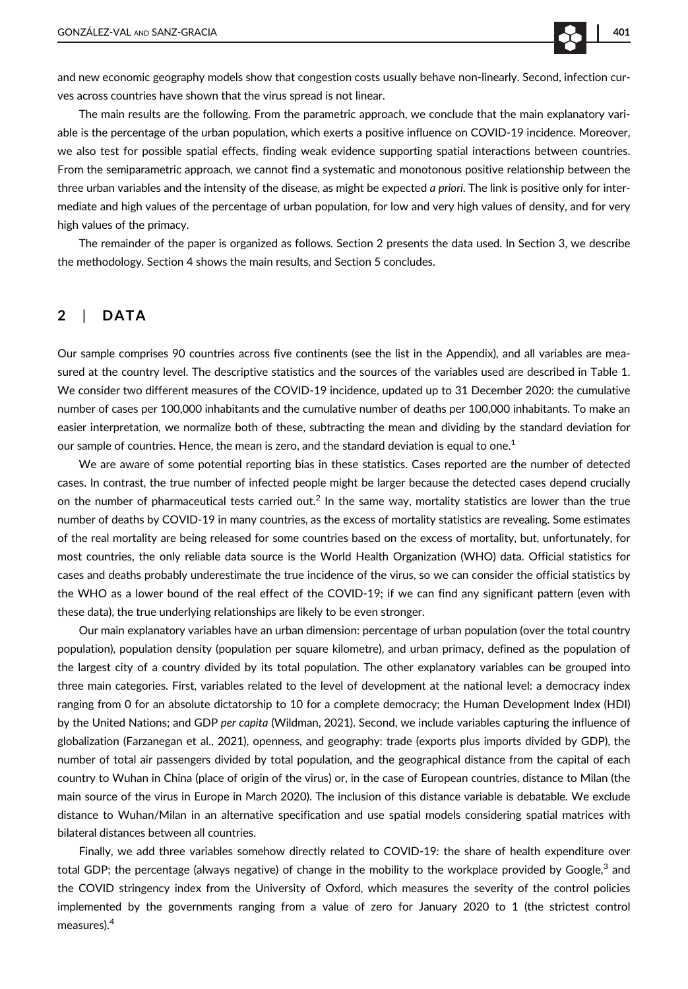and new economic geography models show that congestion costs usually behave non-linearly. Second, infection curves across countries have shown that the virus spread is not linear.

The main results are the following. From the parametric approach, we conclude that the main explanatory variable is the percentage of the urban population, which exerts a positive influence on COVID-19 incidence. Moreover, we also test for possible spatial effects, finding weak evidence supporting spatial interactions between countries. From the semiparametric approach, we cannot find a systematic and monotonous positive relationship between the three urban variables and the intensity of the disease, as might be expected a priori. The link is positive only for intermediate and high values of the percentage of urban population, for low and very high values of density, and for very high values of the primacy.

The remainder of the paper is organized as follows. Section 2 presents the data used. In Section 3, we describe the methodology. Section 4 shows the main results, and Section 5 concludes.

#### 2 | DATA

Our sample comprises 90 countries across five continents (see the list in the Appendix), and all variables are measured at the country level. The descriptive statistics and the sources of the variables used are described in Table 1. We consider two different measures of the COVID-19 incidence, updated up to 31 December 2020: the cumulative number of cases per 100,000 inhabitants and the cumulative number of deaths per 100,000 inhabitants. To make an easier interpretation, we normalize both of these, subtracting the mean and dividing by the standard deviation for our sample of countries. Hence, the mean is zero, and the standard deviation is equal to one.<sup>1</sup>

We are aware of some potential reporting bias in these statistics. Cases reported are the number of detected cases. In contrast, the true number of infected people might be larger because the detected cases depend crucially on the number of pharmaceutical tests carried out.<sup>2</sup> In the same way, mortality statistics are lower than the true number of deaths by COVID-19 in many countries, as the excess of mortality statistics are revealing. Some estimates of the real mortality are being released for some countries based on the excess of mortality, but, unfortunately, for most countries, the only reliable data source is the World Health Organization (WHO) data. Official statistics for cases and deaths probably underestimate the true incidence of the virus, so we can consider the official statistics by the WHO as a lower bound of the real effect of the COVID-19; if we can find any significant pattern (even with these data), the true underlying relationships are likely to be even stronger.

Our main explanatory variables have an urban dimension: percentage of urban population (over the total country population), population density (population per square kilometre), and urban primacy, defined as the population of the largest city of a country divided by its total population. The other explanatory variables can be grouped into three main categories. First, variables related to the level of development at the national level: a democracy index ranging from 0 for an absolute dictatorship to 10 for a complete democracy; the Human Development Index (HDI) by the United Nations; and GDP per capita (Wildman, 2021). Second, we include variables capturing the influence of globalization (Farzanegan et al., 2021), openness, and geography: trade (exports plus imports divided by GDP), the number of total air passengers divided by total population, and the geographical distance from the capital of each country to Wuhan in China (place of origin of the virus) or, in the case of European countries, distance to Milan (the main source of the virus in Europe in March 2020). The inclusion of this distance variable is debatable. We exclude distance to Wuhan/Milan in an alternative specification and use spatial models considering spatial matrices with bilateral distances between all countries.

Finally, we add three variables somehow directly related to COVID-19: the share of health expenditure over total GDP; the percentage (always negative) of change in the mobility to the workplace provided by Google, $3$  and the COVID stringency index from the University of Oxford, which measures the severity of the control policies implemented by the governments ranging from a value of zero for January 2020 to 1 (the strictest control measures).4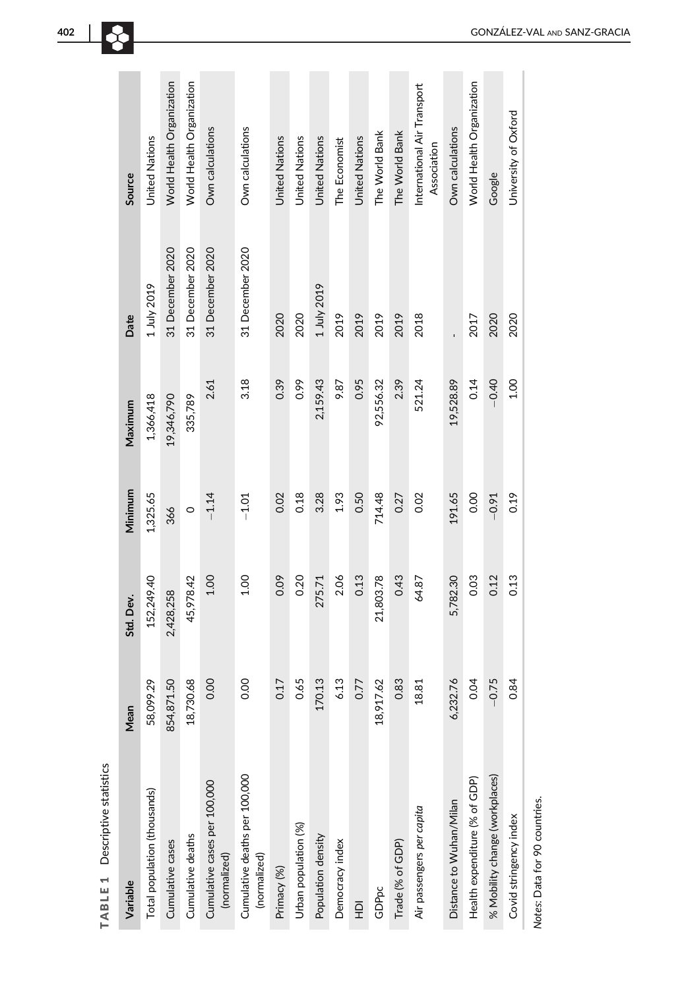|                                | Source      | United Nations               | World Health Organization | World Health Organization | Own calculations                             | Own calculations                              | <b>United Nations</b> | United Nations       | <b>United Nations</b> | The Economist   | <b>United Nations</b> | The World Bank | The World Bank   | International Air Transport<br>Association | Own calculations        | World Health Organization     | Google                         | University of Oxford   |
|--------------------------------|-------------|------------------------------|---------------------------|---------------------------|----------------------------------------------|-----------------------------------------------|-----------------------|----------------------|-----------------------|-----------------|-----------------------|----------------|------------------|--------------------------------------------|-------------------------|-------------------------------|--------------------------------|------------------------|
|                                | Date        | 1 July 2019                  | 31 December 2020          | 31 December 2020          | 31 December 2020                             | 31 December 2020                              | 2020                  | 2020                 | 1 July 2019           | 2019            | 2019                  | 2019           | 2019             | 2018                                       |                         | 2017                          | 2020                           | 2020                   |
|                                | Maximum     | 1,366,418                    | 19,346,790                | 335,789                   | 2.61                                         | 3.18                                          | 0.39                  | 0.99                 | 2,159.43              | 9.87            | 0.95                  | 92,556.32      | 2.39             | 521.24                                     | 19,528.89               | 0.14                          | $-0.40$                        | 1.00                   |
|                                | Minimum     | 1,325.65                     | 366                       | $\circ$                   | $-1.14$                                      | $-1.01$                                       | 0.02                  | 0.18                 | 3.28                  | 1.93            | 0.50                  | 714.48         | 0.27             | 0.02                                       | 191.65                  | 0.00                          | $-0.91$                        | 0.19                   |
|                                | Std. Dev.   | 152,249.40                   | 2,428,258                 | 45,978.42                 | 1.00                                         | 1.00                                          | 0.09                  | 0.20                 | 275.71                | 2.06            | 0.13                  | 21,803.78      | 0.43             | 64.87                                      | 5,782.30                | 0.03                          | 0.12                           | 0.13                   |
|                                | <b>Mean</b> | 58,099.29                    | 854,871.50                | 730.68<br>18,7            | 0.00                                         | 0.00                                          | 0.17                  | 0.65                 | 70.13                 | 6.13            | 0.77                  | 18,917.62      | 0.83             | 18.81                                      | 232.76<br>$\sim$        | 0.04                          | $-0.75$                        | 0.84                   |
| TABLE 1 Descriptive statistics | Variable    | Total population (thousands) | Cumulative cases          | Cumulative deaths         | Cumulative cases per 100,000<br>(normalized) | Cumulative deaths per 100,000<br>(normalized) | Primacy (%)           | Urban population (%) | Population density    | Democracy index | 읖                     | GDPpc          | Trade (% of GDP) | Air passengers per capita                  | Distance to Wuhan/Milan | Health expenditure (% of GDP) | % Mobility change (workplaces) | Covid stringency index |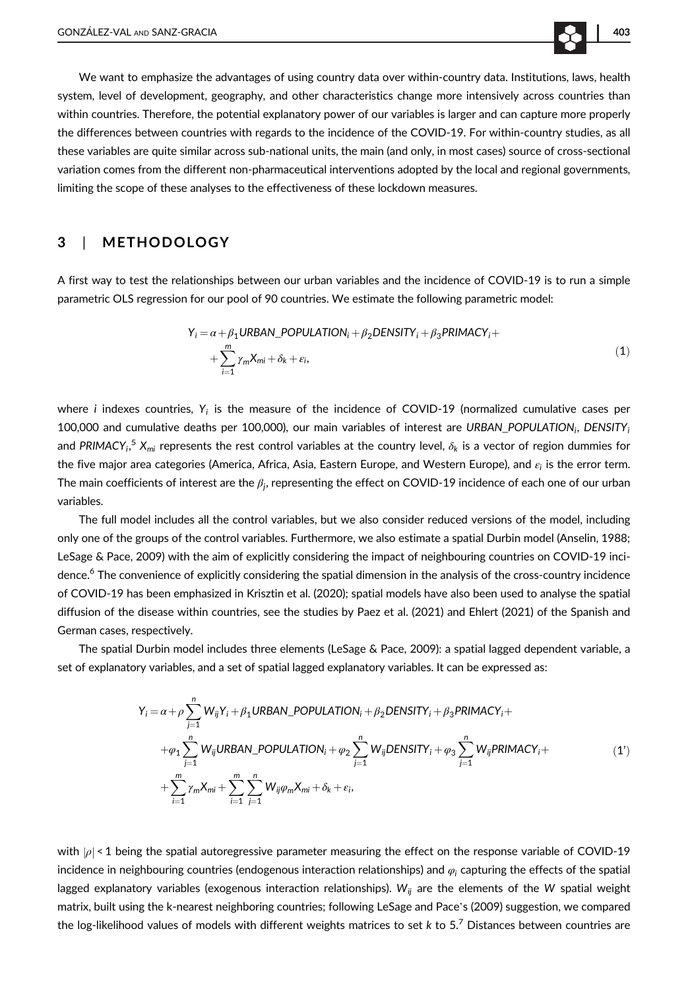We want to emphasize the advantages of using country data over within-country data. Institutions, laws, health system, level of development, geography, and other characteristics change more intensively across countries than within countries. Therefore, the potential explanatory power of our variables is larger and can capture more properly the differences between countries with regards to the incidence of the COVID-19. For within-country studies, as all these variables are quite similar across sub-national units, the main (and only, in most cases) source of cross-sectional variation comes from the different non-pharmaceutical interventions adopted by the local and regional governments, limiting the scope of these analyses to the effectiveness of these lockdown measures.

#### 3 | METHODOLOGY

A first way to test the relationships between our urban variables and the incidence of COVID-19 is to run a simple parametric OLS regression for our pool of 90 countries. We estimate the following parametric model:

$$
Y_i = \alpha + \beta_1 \text{URBAN\_POPULATION}_i + \beta_2 \text{DENSITY}_i + \beta_3 \text{PRIMACY}_i + \sum_{i=1}^{m} \gamma_m X_{mi} + \delta_k + \epsilon_i,
$$
\n(1)

where *i* indexes countries,  $Y_i$  is the measure of the incidence of COVID-19 (normalized cumulative cases per 100,000 and cumulative deaths per 100,000), our main variables of interest are URBAN\_POPULATION<sub>i</sub>, DENSITY<sub>i</sub> and PRIMACY $_i$ ,  $^5$  X<sub>mi</sub> represents the rest control variables at the country level,  $\delta_k$  is a vector of region dummies for the five major area categories (America, Africa, Asia, Eastern Europe, and Western Europe), and  $\varepsilon_i$  is the error term. The main coefficients of interest are the  $\beta_j$ , representing the effect on COVID-19 incidence of each one of our urban variables.

The full model includes all the control variables, but we also consider reduced versions of the model, including only one of the groups of the control variables. Furthermore, we also estimate a spatial Durbin model (Anselin, 1988; LeSage & Pace, 2009) with the aim of explicitly considering the impact of neighbouring countries on COVID-19 incidence.<sup>6</sup> The convenience of explicitly considering the spatial dimension in the analysis of the cross-country incidence of COVID-19 has been emphasized in Krisztin et al. (2020); spatial models have also been used to analyse the spatial diffusion of the disease within countries, see the studies by Paez et al. (2021) and Ehlert (2021) of the Spanish and German cases, respectively.

The spatial Durbin model includes three elements (LeSage & Pace, 2009): a spatial lagged dependent variable, a set of explanatory variables, and a set of spatial lagged explanatory variables. It can be expressed as:

$$
Y_i = \alpha + \rho \sum_{j=1}^n W_{ij} Y_i + \beta_1 URBAN\_POPULATION_i + \beta_2 DENSITY_i + \beta_3 PRIMACY_i +
$$
  
+
$$
\varphi_1 \sum_{j=1}^n W_{ij} URBAN\_POPULATION_i + \varphi_2 \sum_{j=1}^n W_{ij} DENSITY_i + \varphi_3 \sum_{j=1}^n W_{ij} PRIMACY_i +
$$
  
+
$$
\sum_{i=1}^m \gamma_m X_{mi} + \sum_{i=1}^m \sum_{j=1}^n W_{ij} \varphi_m X_{mi} + \delta_k + \varepsilon_i,
$$
 (1')

with  $|\rho|$  < 1 being the spatial autoregressive parameter measuring the effect on the response variable of COVID-19 incidence in neighbouring countries (endogenous interaction relationships) and  $\varphi_i$  capturing the effects of the spatial lagged explanatory variables (exogenous interaction relationships). W<sub>ij</sub> are the elements of the W spatial weight matrix, built using the k-nearest neighboring countries; following LeSage and Pace's (2009) suggestion, we compared the log-likelihood values of models with different weights matrices to set  $k$  to 5.<sup>7</sup> Distances between countries are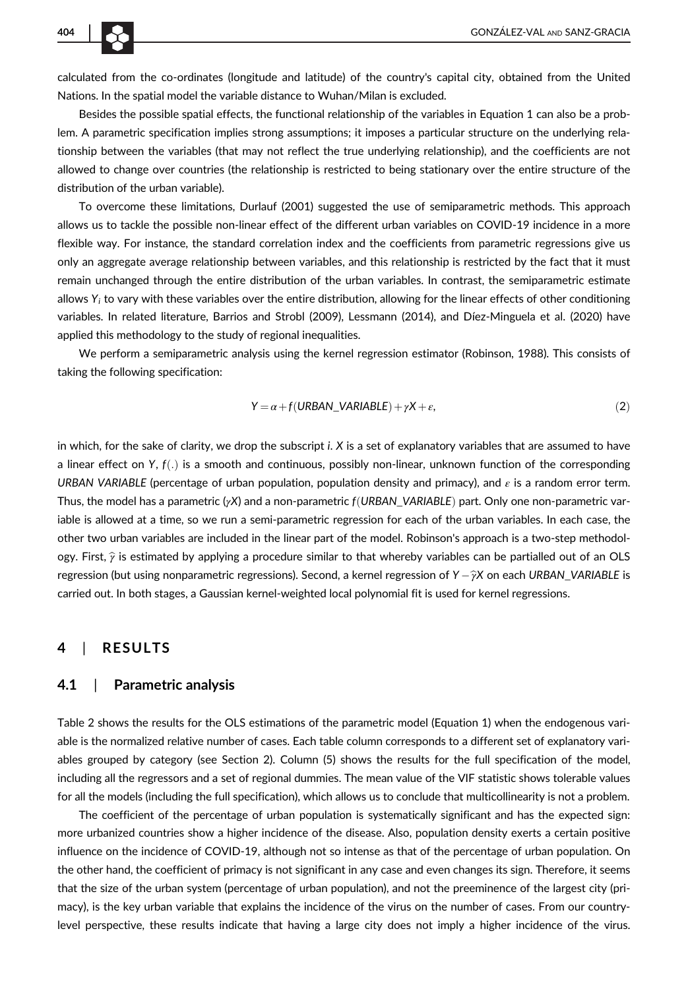calculated from the co-ordinates (longitude and latitude) of the country's capital city, obtained from the United Nations. In the spatial model the variable distance to Wuhan/Milan is excluded.

Besides the possible spatial effects, the functional relationship of the variables in Equation 1 can also be a problem. A parametric specification implies strong assumptions; it imposes a particular structure on the underlying relationship between the variables (that may not reflect the true underlying relationship), and the coefficients are not allowed to change over countries (the relationship is restricted to being stationary over the entire structure of the distribution of the urban variable).

To overcome these limitations, Durlauf (2001) suggested the use of semiparametric methods. This approach allows us to tackle the possible non-linear effect of the different urban variables on COVID-19 incidence in a more flexible way. For instance, the standard correlation index and the coefficients from parametric regressions give us only an aggregate average relationship between variables, and this relationship is restricted by the fact that it must remain unchanged through the entire distribution of the urban variables. In contrast, the semiparametric estimate allows  $Y_i$  to vary with these variables over the entire distribution, allowing for the linear effects of other conditioning variables. In related literature, Barrios and Strobl (2009), Lessmann (2014), and Díez-Minguela et al. (2020) have applied this methodology to the study of regional inequalities.

We perform a semiparametric analysis using the kernel regression estimator (Robinson, 1988). This consists of taking the following specification:

$$
Y = \alpha + f(URBAN_VARIABLE) + \gamma X + \varepsilon,
$$
\n(2)

in which, for the sake of clarity, we drop the subscript i. X is a set of explanatory variables that are assumed to have a linear effect on Y,  $f(.)$  is a smooth and continuous, possibly non-linear, unknown function of the corresponding URBAN VARIABLE (percentage of urban population, population density and primacy), and  $\varepsilon$  is a random error term. Thus, the model has a parametric  $(yX)$  and a non-parametric  $f(URBAN VARIABLE)$  part. Only one non-parametric variable is allowed at a time, so we run a semi-parametric regression for each of the urban variables. In each case, the other two urban variables are included in the linear part of the model. Robinson's approach is a two-step methodology. First,  $\hat{\gamma}$  is estimated by applying a procedure similar to that whereby variables can be partialled out of an OLS regression (but using nonparametric regressions). Second, a kernel regression of Y  $-\hat{\gamma}X$  on each URBAN\_VARIABLE is carried out. In both stages, a Gaussian kernel-weighted local polynomial fit is used for kernel regressions.

#### 4 | RESULTS

#### 4.1 | Parametric analysis

Table 2 shows the results for the OLS estimations of the parametric model (Equation 1) when the endogenous variable is the normalized relative number of cases. Each table column corresponds to a different set of explanatory variables grouped by category (see Section 2). Column (5) shows the results for the full specification of the model, including all the regressors and a set of regional dummies. The mean value of the VIF statistic shows tolerable values for all the models (including the full specification), which allows us to conclude that multicollinearity is not a problem.

The coefficient of the percentage of urban population is systematically significant and has the expected sign: more urbanized countries show a higher incidence of the disease. Also, population density exerts a certain positive influence on the incidence of COVID-19, although not so intense as that of the percentage of urban population. On the other hand, the coefficient of primacy is not significant in any case and even changes its sign. Therefore, it seems that the size of the urban system (percentage of urban population), and not the preeminence of the largest city (primacy), is the key urban variable that explains the incidence of the virus on the number of cases. From our countrylevel perspective, these results indicate that having a large city does not imply a higher incidence of the virus.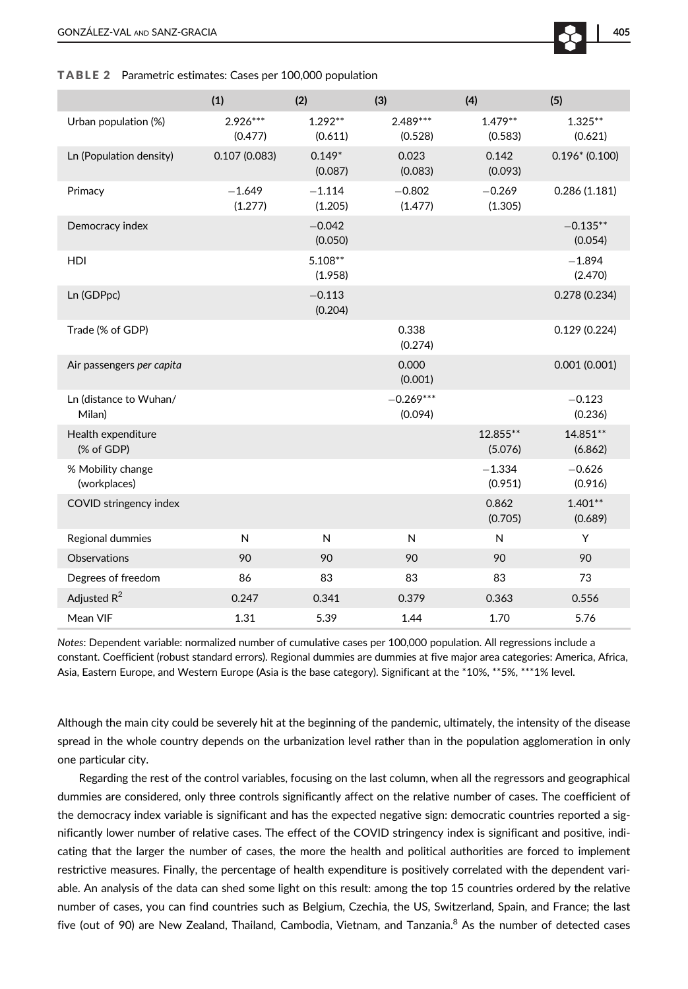#### TABLE 2 Parametric estimates: Cases per 100,000 population

|                                   | (1)                   | (2)                  | (3)                    | (4)                  | (5)                   |
|-----------------------------------|-----------------------|----------------------|------------------------|----------------------|-----------------------|
| Urban population (%)              | $2.926***$<br>(0.477) | $1.292**$<br>(0.611) | $2.489***$<br>(0.528)  | $1.479**$<br>(0.583) | $1.325***$<br>(0.621) |
| Ln (Population density)           | 0.107(0.083)          | $0.149*$<br>(0.087)  | 0.023<br>(0.083)       | 0.142<br>(0.093)     | $0.196*$ (0.100)      |
| Primacy                           | $-1.649$<br>(1.277)   | $-1.114$<br>(1.205)  | $-0.802$<br>(1.477)    | $-0.269$<br>(1.305)  | 0.286(1.181)          |
| Democracy index                   |                       | $-0.042$<br>(0.050)  |                        |                      | $-0.135**$<br>(0.054) |
| HDI                               |                       | $5.108**$<br>(1.958) |                        |                      | $-1.894$<br>(2.470)   |
| Ln (GDPpc)                        |                       | $-0.113$<br>(0.204)  |                        |                      | 0.278(0.234)          |
| Trade (% of GDP)                  |                       |                      | 0.338<br>(0.274)       |                      | 0.129(0.224)          |
| Air passengers per capita         |                       |                      | 0.000<br>(0.001)       |                      | 0.001(0.001)          |
| Ln (distance to Wuhan/<br>Milan)  |                       |                      | $-0.269***$<br>(0.094) |                      | $-0.123$<br>(0.236)   |
| Health expenditure<br>(% of GDP)  |                       |                      |                        | 12.855**<br>(5.076)  | 14.851**<br>(6.862)   |
| % Mobility change<br>(workplaces) |                       |                      |                        | $-1.334$<br>(0.951)  | $-0.626$<br>(0.916)   |
| COVID stringency index            |                       |                      |                        | 0.862<br>(0.705)     | $1.401**$<br>(0.689)  |
| Regional dummies                  | N                     | N                    | N                      | N                    | Y                     |
| <b>Observations</b>               | 90                    | 90                   | 90                     | 90                   | 90                    |
| Degrees of freedom                | 86                    | 83                   | 83                     | 83                   | 73                    |
| Adjusted $R^2$                    | 0.247                 | 0.341                | 0.379                  | 0.363                | 0.556                 |
| Mean VIF                          | 1.31                  | 5.39                 | 1.44                   | 1.70                 | 5.76                  |

Notes: Dependent variable: normalized number of cumulative cases per 100,000 population. All regressions include a constant. Coefficient (robust standard errors). Regional dummies are dummies at five major area categories: America, Africa, Asia, Eastern Europe, and Western Europe (Asia is the base category). Significant at the \*10%, \*\*5%, \*\*\*1% level.

Although the main city could be severely hit at the beginning of the pandemic, ultimately, the intensity of the disease spread in the whole country depends on the urbanization level rather than in the population agglomeration in only one particular city.

Regarding the rest of the control variables, focusing on the last column, when all the regressors and geographical dummies are considered, only three controls significantly affect on the relative number of cases. The coefficient of the democracy index variable is significant and has the expected negative sign: democratic countries reported a significantly lower number of relative cases. The effect of the COVID stringency index is significant and positive, indicating that the larger the number of cases, the more the health and political authorities are forced to implement restrictive measures. Finally, the percentage of health expenditure is positively correlated with the dependent variable. An analysis of the data can shed some light on this result: among the top 15 countries ordered by the relative number of cases, you can find countries such as Belgium, Czechia, the US, Switzerland, Spain, and France; the last five (out of 90) are New Zealand, Thailand, Cambodia, Vietnam, and Tanzania.<sup>8</sup> As the number of detected cases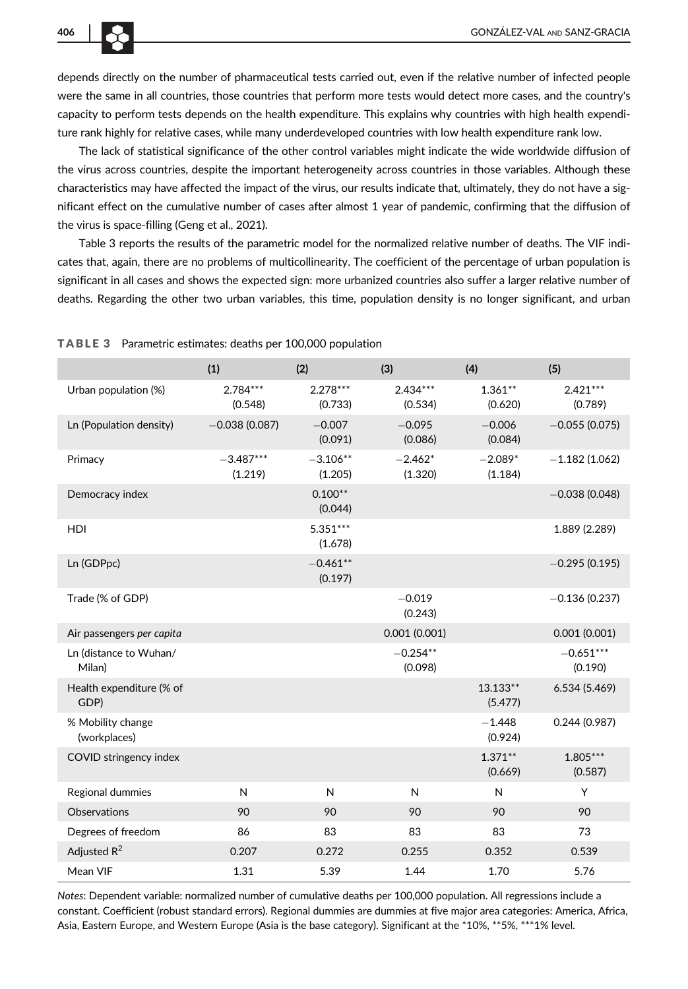depends directly on the number of pharmaceutical tests carried out, even if the relative number of infected people were the same in all countries, those countries that perform more tests would detect more cases, and the country's capacity to perform tests depends on the health expenditure. This explains why countries with high health expenditure rank highly for relative cases, while many underdeveloped countries with low health expenditure rank low.

The lack of statistical significance of the other control variables might indicate the wide worldwide diffusion of the virus across countries, despite the important heterogeneity across countries in those variables. Although these characteristics may have affected the impact of the virus, our results indicate that, ultimately, they do not have a significant effect on the cumulative number of cases after almost 1 year of pandemic, confirming that the diffusion of the virus is space-filling (Geng et al., 2021).

Table 3 reports the results of the parametric model for the normalized relative number of deaths. The VIF indicates that, again, there are no problems of multicollinearity. The coefficient of the percentage of urban population is significant in all cases and shows the expected sign: more urbanized countries also suffer a larger relative number of deaths. Regarding the other two urban variables, this time, population density is no longer significant, and urban

|                                   | (1)                    | (2)                   | (3)                   | (4)                  | (5)                    |
|-----------------------------------|------------------------|-----------------------|-----------------------|----------------------|------------------------|
| Urban population (%)              | 2.784***<br>(0.548)    | $2.278***$<br>(0.733) | $2.434***$<br>(0.534) | $1.361**$<br>(0.620) | $2.421***$<br>(0.789)  |
| Ln (Population density)           | $-0.038(0.087)$        | $-0.007$<br>(0.091)   | $-0.095$<br>(0.086)   | $-0.006$<br>(0.084)  | $-0.055(0.075)$        |
| Primacy                           | $-3.487***$<br>(1.219) | $-3.106**$<br>(1.205) | $-2.462*$<br>(1.320)  | $-2.089*$<br>(1.184) | $-1.182(1.062)$        |
| Democracy index                   |                        | $0.100**$<br>(0.044)  |                       |                      | $-0.038(0.048)$        |
| HDI                               |                        | $5.351***$<br>(1.678) |                       |                      | 1.889 (2.289)          |
| Ln (GDPpc)                        |                        | $-0.461**$<br>(0.197) |                       |                      | $-0.295(0.195)$        |
| Trade (% of GDP)                  |                        |                       | $-0.019$<br>(0.243)   |                      | $-0.136(0.237)$        |
| Air passengers per capita         |                        |                       | 0.001(0.001)          |                      | 0.001(0.001)           |
| Ln (distance to Wuhan/<br>Milan)  |                        |                       | $-0.254**$<br>(0.098) |                      | $-0.651***$<br>(0.190) |
| Health expenditure (% of<br>GDP)  |                        |                       |                       | 13.133**<br>(5.477)  | 6.534 (5.469)          |
| % Mobility change<br>(workplaces) |                        |                       |                       | $-1.448$<br>(0.924)  | 0.244(0.987)           |
| COVID stringency index            |                        |                       |                       | $1.371**$<br>(0.669) | $1.805***$<br>(0.587)  |
| Regional dummies                  | N                      | $\mathsf{N}$          | N                     | N                    | Y                      |
| Observations                      | 90                     | 90                    | 90                    | 90                   | 90                     |
| Degrees of freedom                | 86                     | 83                    | 83                    | 83                   | 73                     |
| Adjusted $R^2$                    | 0.207                  | 0.272                 | 0.255                 | 0.352                | 0.539                  |
| Mean VIF                          | 1.31                   | 5.39                  | 1.44                  | 1.70                 | 5.76                   |

TABLE 3 Parametric estimates: deaths per 100,000 population

Notes: Dependent variable: normalized number of cumulative deaths per 100,000 population. All regressions include a constant. Coefficient (robust standard errors). Regional dummies are dummies at five major area categories: America, Africa, Asia, Eastern Europe, and Western Europe (Asia is the base category). Significant at the \*10%, \*\*5%, \*\*\*1% level.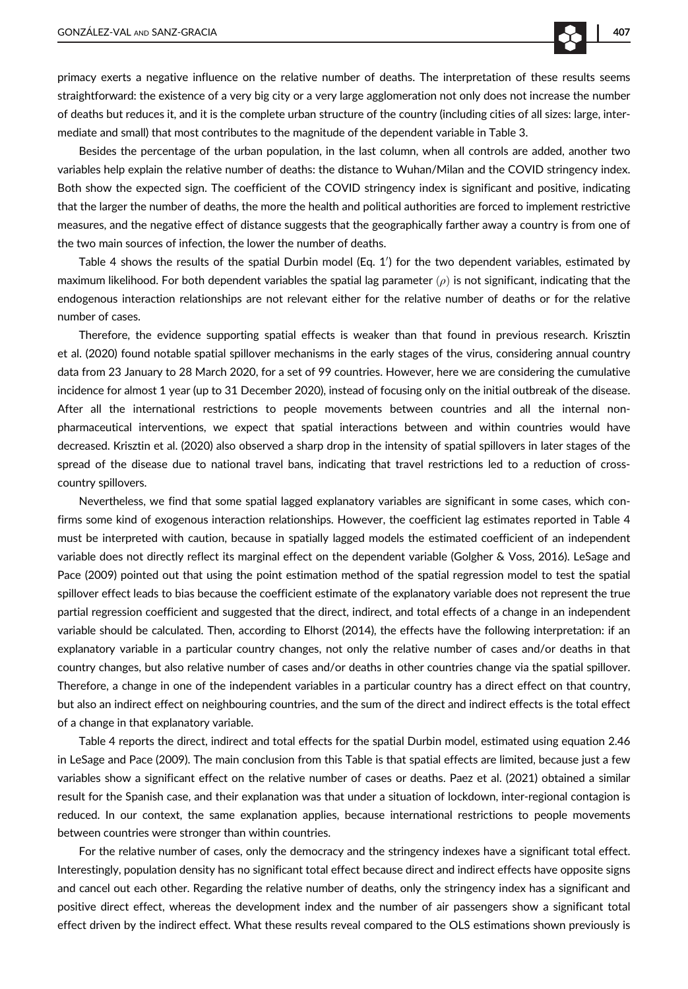primacy exerts a negative influence on the relative number of deaths. The interpretation of these results seems straightforward: the existence of a very big city or a very large agglomeration not only does not increase the number of deaths but reduces it, and it is the complete urban structure of the country (including cities of all sizes: large, intermediate and small) that most contributes to the magnitude of the dependent variable in Table 3.

Besides the percentage of the urban population, in the last column, when all controls are added, another two variables help explain the relative number of deaths: the distance to Wuhan/Milan and the COVID stringency index. Both show the expected sign. The coefficient of the COVID stringency index is significant and positive, indicating that the larger the number of deaths, the more the health and political authorities are forced to implement restrictive measures, and the negative effect of distance suggests that the geographically farther away a country is from one of the two main sources of infection, the lower the number of deaths.

Table 4 shows the results of the spatial Durbin model (Eq. 1') for the two dependent variables, estimated by maximum likelihood. For both dependent variables the spatial lag parameter  $(\rho)$  is not significant, indicating that the endogenous interaction relationships are not relevant either for the relative number of deaths or for the relative number of cases.

Therefore, the evidence supporting spatial effects is weaker than that found in previous research. Krisztin et al. (2020) found notable spatial spillover mechanisms in the early stages of the virus, considering annual country data from 23 January to 28 March 2020, for a set of 99 countries. However, here we are considering the cumulative incidence for almost 1 year (up to 31 December 2020), instead of focusing only on the initial outbreak of the disease. After all the international restrictions to people movements between countries and all the internal nonpharmaceutical interventions, we expect that spatial interactions between and within countries would have decreased. Krisztin et al. (2020) also observed a sharp drop in the intensity of spatial spillovers in later stages of the spread of the disease due to national travel bans, indicating that travel restrictions led to a reduction of crosscountry spillovers.

Nevertheless, we find that some spatial lagged explanatory variables are significant in some cases, which confirms some kind of exogenous interaction relationships. However, the coefficient lag estimates reported in Table 4 must be interpreted with caution, because in spatially lagged models the estimated coefficient of an independent variable does not directly reflect its marginal effect on the dependent variable (Golgher & Voss, 2016). LeSage and Pace (2009) pointed out that using the point estimation method of the spatial regression model to test the spatial spillover effect leads to bias because the coefficient estimate of the explanatory variable does not represent the true partial regression coefficient and suggested that the direct, indirect, and total effects of a change in an independent variable should be calculated. Then, according to Elhorst (2014), the effects have the following interpretation: if an explanatory variable in a particular country changes, not only the relative number of cases and/or deaths in that country changes, but also relative number of cases and/or deaths in other countries change via the spatial spillover. Therefore, a change in one of the independent variables in a particular country has a direct effect on that country, but also an indirect effect on neighbouring countries, and the sum of the direct and indirect effects is the total effect of a change in that explanatory variable.

Table 4 reports the direct, indirect and total effects for the spatial Durbin model, estimated using equation 2.46 in LeSage and Pace (2009). The main conclusion from this Table is that spatial effects are limited, because just a few variables show a significant effect on the relative number of cases or deaths. Paez et al. (2021) obtained a similar result for the Spanish case, and their explanation was that under a situation of lockdown, inter-regional contagion is reduced. In our context, the same explanation applies, because international restrictions to people movements between countries were stronger than within countries.

For the relative number of cases, only the democracy and the stringency indexes have a significant total effect. Interestingly, population density has no significant total effect because direct and indirect effects have opposite signs and cancel out each other. Regarding the relative number of deaths, only the stringency index has a significant and positive direct effect, whereas the development index and the number of air passengers show a significant total effect driven by the indirect effect. What these results reveal compared to the OLS estimations shown previously is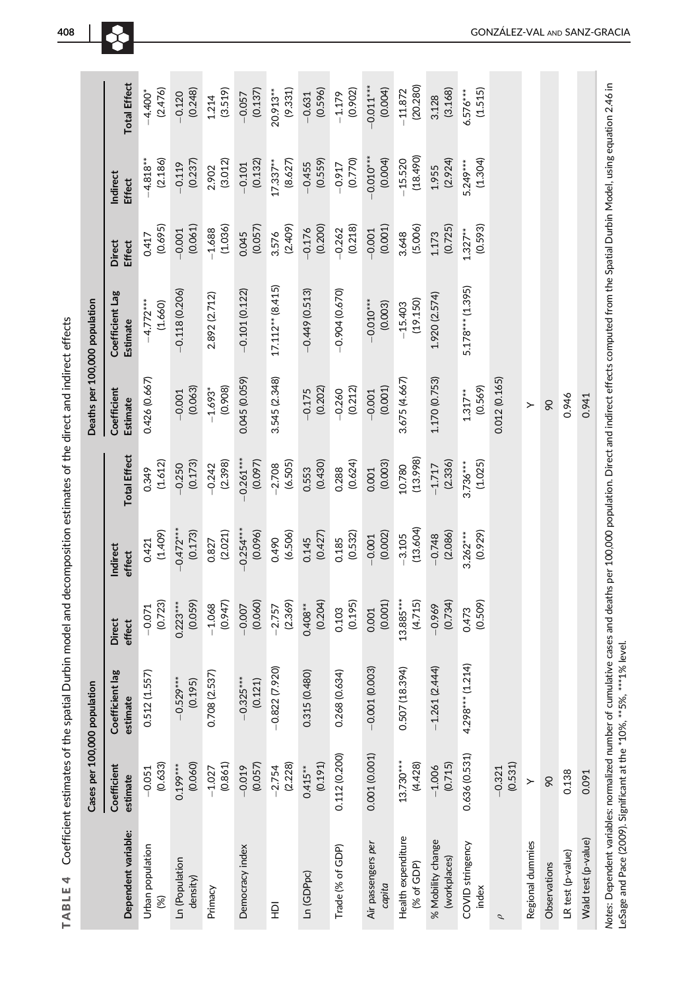| ֠      |
|--------|
|        |
|        |
|        |
|        |
|        |
|        |
| l      |
| ׇ֚֡֡   |
|        |
|        |
| ֕      |
| ׇ֚֘֝֬  |
|        |
|        |
|        |
|        |
|        |
|        |
| l<br>I |
|        |
|        |
|        |
| ī      |
|        |
|        |
|        |
| l      |
|        |
|        |
|        |
|        |
| l      |
|        |
|        |
| l<br>ı |
| l<br>l |
| 1<br>l |
|        |

|                                    | Cases per 100,000 population |                             |                         |                        |                        |                         | Deaths per 100,000 population |                         |                        |                        |
|------------------------------------|------------------------------|-----------------------------|-------------------------|------------------------|------------------------|-------------------------|-------------------------------|-------------------------|------------------------|------------------------|
| Dependent variable:                | Coefficient<br>estimate      | Coefficient lag<br>estimate | <b>Direct</b><br>effect | Indirect<br>effect     | <b>Total Effect</b>    | Coefficient<br>Estimate | Coefficient Lag<br>Estimate   | Direct<br><b>Effect</b> | Indirect<br>Effect     | <b>Total Effect</b>    |
| Urban population<br>(%)            | (0.633)<br>$-0.051$          | 0.512(1.557)                | (0.723)<br>$-0.071$     | (1.409)<br>0.421       | (1.612)<br>0.349       | 0.426 (0.667)           | $-4.772***$<br>(1.660)        | (0.695)<br>0.417        | (2.186)<br>$-4.818**$  | (2.476)<br>$-4.400*$   |
| Ln (Population<br>density)         | (0.060)<br>$0.199***$        | $-0.529***$<br>(0.195)      | (0.059)<br>$0.223***$   | $-0.472***$<br>(0.173) | (0.173)<br>$-0.250$    | (0.063)<br>$-0.001$     | $-0.118(0.206)$               | (0.061)<br>$-0.001$     | (0.237)<br>$-0.119$    | (0.248)<br>$-0.120$    |
| Primacy                            | (0.861)<br>$-1.027$          | 0.708 (2.537)               | (0.947)<br>$-1.068$     | (2.021)<br>0.827       | (2.398)<br>$-0.242$    | (0.908)<br>$-1.693*$    | 2.892 (2.712)                 | (1.036)<br>$-1.688$     | (3.012)<br>2.902       | (3.519)<br>1.214       |
| Democracy index                    | (0.057)<br>$-0.019$          | $-0.325***$<br>(0.121)      | (0.060)<br>$-0.007$     | $-0.254***$<br>(0.096) | $-0.261***$<br>(0.097) | 0.045 (0.059)           | $-0.101(0.122)$               | (0.057)<br>0.045        | (0.132)<br>$-0.101$    | (0.137)<br>$-0.057$    |
| 읖                                  | (2.228)<br>$-2.754$          | $-0.822(7.920)$             | (2.369)<br>$-2.757$     | (6.506)<br>0.490       | (6.505)<br>$-2.708$    | 3.545 (2.348)           | $17.112**$ (8.415)            | (2.409)<br>3.576        | (8.627)<br>$17.337**$  | (9.331)<br>20.913**    |
| Ln (GDPpc)                         | (0.191)<br>$0.415***$        | 5 (0.480)<br>0.31           | (0.204)<br>$0.408***$   | (0.427)<br>0.145       | (0.430)<br>0.553       | (0.202)<br>$-0.175$     | $-0.449(0.513)$               | (0.200)<br>$-0.176$     | (0.559)<br>$-0.455$    | (0.596)<br>$-0.631$    |
| Trade (% of GDP)                   | 0.112 (0.200)                | 0.268 (0.634)               | (0.195)<br>0.103        | (0.532)<br>0.185       | (0.624)<br>0.288       | (0.212)<br>$-0.260$     | $-0.904(0.670)$               | (0.218)<br>$-0.262$     | (0.770)<br>$-0.917$    | (0.902)<br>$-1.179$    |
| Air passengers per<br>capita       | 0.001(0.001)                 | $-0.001(0.003)$             | (0.001)<br>0.001        | (0.002)<br>$-0.001$    | (0.003)<br>0.001       | (0.001)<br>$-0.001$     | $-0.010***$<br>(0.003)        | $-0.001$<br>(0.001)     | $-0.010***$<br>(0.004) | (0.004)<br>$-0.011***$ |
| Health expenditure<br>$(%$ of GDP) | 13.730***<br>(4.428)         | (18.394)<br>0.507           | 13.885***<br>(4.715)    | (13.604)<br>$-3.105$   | (13.998)<br>10.780     | 3.675 (4.667)           | (19.150)<br>$-15.403$         | (5.006)<br>3.648        | (18.490)<br>$-15.520$  | (20.280)<br>$-11.872$  |
| % Mobility change<br>(workplaces)  | (0.715)<br>$-1.006$          | $-1.261(2.444)$             | (0.734)<br>$-0.969$     | (2.086)<br>$-0.748$    | (2.336)<br>$-1.717$    | 1.170 (0.753)           | 1.920 (2.574)                 | (0.725)<br>1.173        | (2.924)<br>1.955       | (3.168)<br>3.128       |
| COVID stringency<br>index          | 0.636 (0.531)                | $4.298***$ (1.214)          | (0.509)<br>0.473        | (0.929)<br>$3.262***$  | (1.025)<br>$3.736***$  | (0.569)<br>$1.317**$    | 5.178*** (1.395)              | (0.593)<br>$1.327**$    | (1.304)<br>5.249***    | (1.515)<br>$6.576***$  |
| $\sigma$                           | (0.531)<br>$-0.321$          |                             |                         |                        |                        | 0.012 (0.165)           |                               |                         |                        |                        |
| Regional dummies                   | ≻                            |                             |                         |                        |                        | ≻                       |                               |                         |                        |                        |
| Observations                       | 90                           |                             |                         |                        |                        | $\infty$                |                               |                         |                        |                        |
| LR test (p-value)                  | 0.138                        |                             |                         |                        |                        | 0.946                   |                               |                         |                        |                        |
| Wald test (p-value)                | 0.091                        |                             |                         |                        |                        | 0.941                   |                               |                         |                        |                        |
|                                    |                              |                             |                         |                        |                        |                         |                               |                         |                        |                        |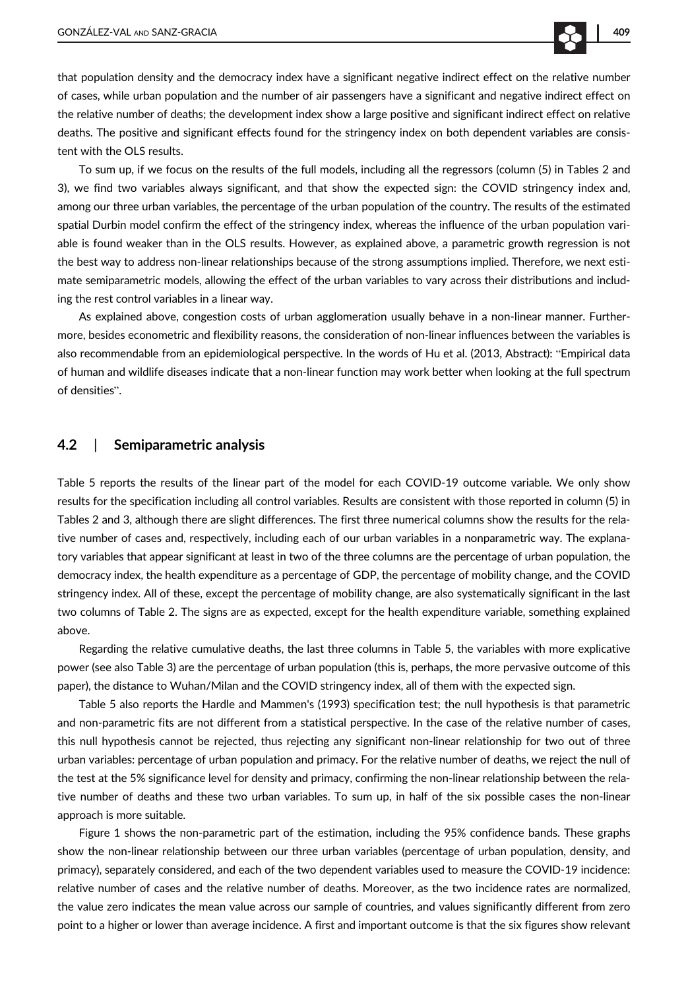that population density and the democracy index have a significant negative indirect effect on the relative number of cases, while urban population and the number of air passengers have a significant and negative indirect effect on the relative number of deaths; the development index show a large positive and significant indirect effect on relative deaths. The positive and significant effects found for the stringency index on both dependent variables are consistent with the OLS results.

To sum up, if we focus on the results of the full models, including all the regressors (column (5) in Tables 2 and 3), we find two variables always significant, and that show the expected sign: the COVID stringency index and, among our three urban variables, the percentage of the urban population of the country. The results of the estimated spatial Durbin model confirm the effect of the stringency index, whereas the influence of the urban population variable is found weaker than in the OLS results. However, as explained above, a parametric growth regression is not the best way to address non-linear relationships because of the strong assumptions implied. Therefore, we next estimate semiparametric models, allowing the effect of the urban variables to vary across their distributions and including the rest control variables in a linear way.

As explained above, congestion costs of urban agglomeration usually behave in a non-linear manner. Furthermore, besides econometric and flexibility reasons, the consideration of non-linear influences between the variables is also recommendable from an epidemiological perspective. In the words of Hu et al. (2013, Abstract): "Empirical data of human and wildlife diseases indicate that a non-linear function may work better when looking at the full spectrum of densities".

#### 4.2 | Semiparametric analysis

Table 5 reports the results of the linear part of the model for each COVID-19 outcome variable. We only show results for the specification including all control variables. Results are consistent with those reported in column (5) in Tables 2 and 3, although there are slight differences. The first three numerical columns show the results for the relative number of cases and, respectively, including each of our urban variables in a nonparametric way. The explanatory variables that appear significant at least in two of the three columns are the percentage of urban population, the democracy index, the health expenditure as a percentage of GDP, the percentage of mobility change, and the COVID stringency index. All of these, except the percentage of mobility change, are also systematically significant in the last two columns of Table 2. The signs are as expected, except for the health expenditure variable, something explained above.

Regarding the relative cumulative deaths, the last three columns in Table 5, the variables with more explicative power (see also Table 3) are the percentage of urban population (this is, perhaps, the more pervasive outcome of this paper), the distance to Wuhan/Milan and the COVID stringency index, all of them with the expected sign.

Table 5 also reports the Hardle and Mammen's (1993) specification test; the null hypothesis is that parametric and non-parametric fits are not different from a statistical perspective. In the case of the relative number of cases, this null hypothesis cannot be rejected, thus rejecting any significant non-linear relationship for two out of three urban variables: percentage of urban population and primacy. For the relative number of deaths, we reject the null of the test at the 5% significance level for density and primacy, confirming the non-linear relationship between the relative number of deaths and these two urban variables. To sum up, in half of the six possible cases the non-linear approach is more suitable.

Figure 1 shows the non-parametric part of the estimation, including the 95% confidence bands. These graphs show the non-linear relationship between our three urban variables (percentage of urban population, density, and primacy), separately considered, and each of the two dependent variables used to measure the COVID-19 incidence: relative number of cases and the relative number of deaths. Moreover, as the two incidence rates are normalized, the value zero indicates the mean value across our sample of countries, and values significantly different from zero point to a higher or lower than average incidence. A first and important outcome is that the six figures show relevant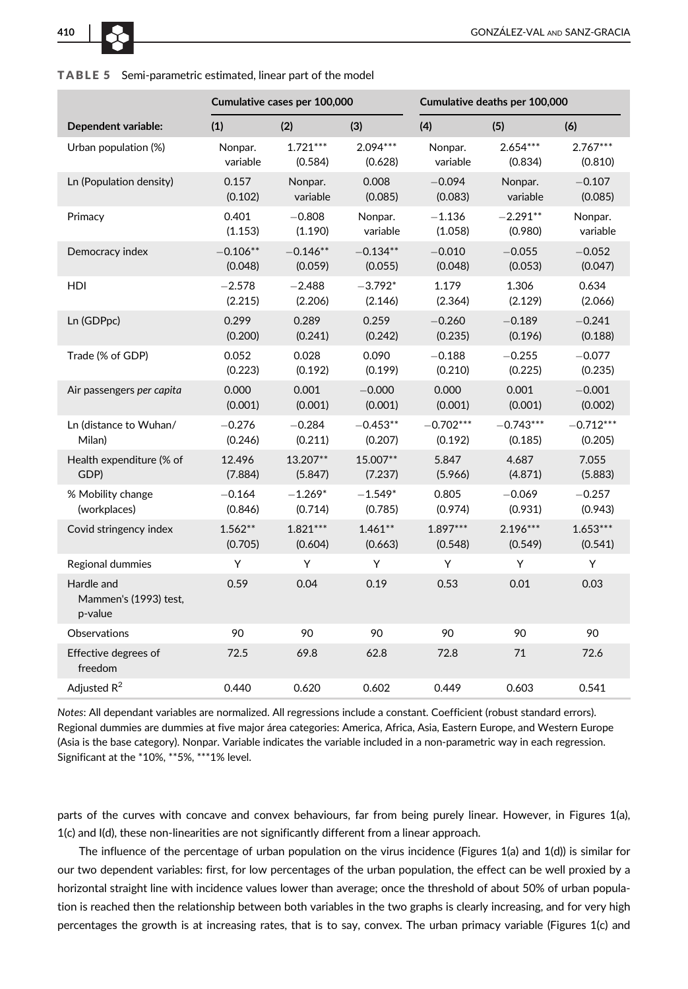

|                                                |            | Cumulative cases per 100,000 |            |             | Cumulative deaths per 100,000 |             |
|------------------------------------------------|------------|------------------------------|------------|-------------|-------------------------------|-------------|
| Dependent variable:                            | (1)        | (2)                          | (3)        | (4)         | (5)                           | (6)         |
| Urban population (%)                           | Nonpar.    | $1.721***$                   | $2.094***$ | Nonpar.     | $2.654***$                    | $2.767***$  |
|                                                | variable   | (0.584)                      | (0.628)    | variable    | (0.834)                       | (0.810)     |
| Ln (Population density)                        | 0.157      | Nonpar.                      | 0.008      | $-0.094$    | Nonpar.                       | $-0.107$    |
|                                                | (0.102)    | variable                     | (0.085)    | (0.083)     | variable                      | (0.085)     |
| Primacy                                        | 0.401      | $-0.808$                     | Nonpar.    | $-1.136$    | $-2.291**$                    | Nonpar.     |
|                                                | (1.153)    | (1.190)                      | variable   | (1.058)     | (0.980)                       | variable    |
| Democracy index                                | $-0.106**$ | $-0.146**$                   | $-0.134**$ | $-0.010$    | $-0.055$                      | $-0.052$    |
|                                                | (0.048)    | (0.059)                      | (0.055)    | (0.048)     | (0.053)                       | (0.047)     |
| HDI                                            | $-2.578$   | $-2.488$                     | $-3.792*$  | 1.179       | 1.306                         | 0.634       |
|                                                | (2.215)    | (2.206)                      | (2.146)    | (2.364)     | (2.129)                       | (2.066)     |
| Ln (GDPpc)                                     | 0.299      | 0.289                        | 0.259      | $-0.260$    | $-0.189$                      | $-0.241$    |
|                                                | (0.200)    | (0.241)                      | (0.242)    | (0.235)     | (0.196)                       | (0.188)     |
| Trade (% of GDP)                               | 0.052      | 0.028                        | 0.090      | $-0.188$    | $-0.255$                      | $-0.077$    |
|                                                | (0.223)    | (0.192)                      | (0.199)    | (0.210)     | (0.225)                       | (0.235)     |
| Air passengers per capita                      | 0.000      | 0.001                        | $-0.000$   | 0.000       | 0.001                         | $-0.001$    |
|                                                | (0.001)    | (0.001)                      | (0.001)    | (0.001)     | (0.001)                       | (0.002)     |
| Ln (distance to Wuhan/                         | $-0.276$   | $-0.284$                     | $-0.453**$ | $-0.702***$ | $-0.743***$                   | $-0.712***$ |
| Milan)                                         | (0.246)    | (0.211)                      | (0.207)    | (0.192)     | (0.185)                       | (0.205)     |
| Health expenditure (% of                       | 12.496     | 13.207**                     | 15.007**   | 5.847       | 4.687                         | 7.055       |
| GDP)                                           | (7.884)    | (5.847)                      | (7.237)    | (5.966)     | (4.871)                       | (5.883)     |
| % Mobility change                              | $-0.164$   | $-1.269*$                    | $-1.549*$  | 0.805       | $-0.069$                      | $-0.257$    |
| (workplaces)                                   | (0.846)    | (0.714)                      | (0.785)    | (0.974)     | (0.931)                       | (0.943)     |
| Covid stringency index                         | $1.562**$  | $1.821***$                   | $1.461**$  | $1.897***$  | $2.196***$                    | $1.653***$  |
|                                                | (0.705)    | (0.604)                      | (0.663)    | (0.548)     | (0.549)                       | (0.541)     |
| Regional dummies                               | Υ          | Υ                            | Y          | Y           | Y                             | Υ           |
| Hardle and<br>Mammen's (1993) test,<br>p-value | 0.59       | 0.04                         | 0.19       | 0.53        | 0.01                          | 0.03        |
| <b>Observations</b>                            | 90         | 90                           | 90         | 90          | 90                            | 90          |
| Effective degrees of<br>freedom                | 72.5       | 69.8                         | 62.8       | 72.8        | 71                            | 72.6        |
| Adjusted $R^2$                                 | 0.440      | 0.620                        | 0.602      | 0.449       | 0.603                         | 0.541       |

#### TABLE 5 Semi-parametric estimated, linear part of the model

Notes: All dependant variables are normalized. All regressions include a constant. Coefficient (robust standard errors). Regional dummies are dummies at five major área categories: America, Africa, Asia, Eastern Europe, and Western Europe (Asia is the base category). Nonpar. Variable indicates the variable included in a non-parametric way in each regression. Significant at the \*10%, \*\*5%, \*\*\*1% level.

parts of the curves with concave and convex behaviours, far from being purely linear. However, in Figures 1(a), 1(c) and I(d), these non-linearities are not significantly different from a linear approach.

The influence of the percentage of urban population on the virus incidence (Figures 1(a) and 1(d)) is similar for our two dependent variables: first, for low percentages of the urban population, the effect can be well proxied by a horizontal straight line with incidence values lower than average; once the threshold of about 50% of urban population is reached then the relationship between both variables in the two graphs is clearly increasing, and for very high percentages the growth is at increasing rates, that is to say, convex. The urban primacy variable (Figures 1(c) and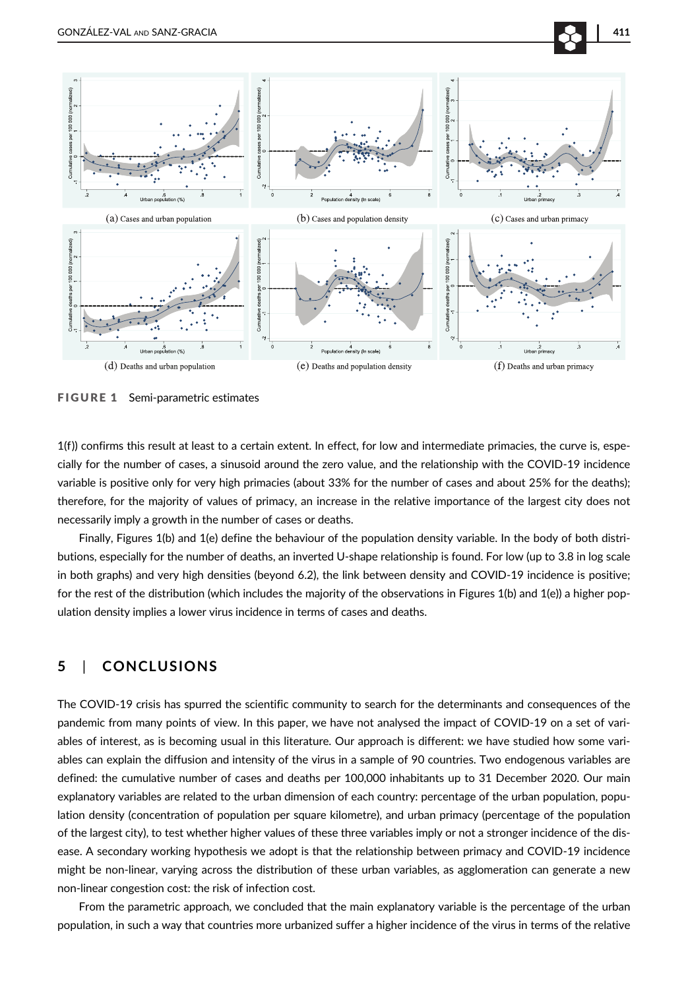

FIGURE 1 Semi-parametric estimates

1(f)) confirms this result at least to a certain extent. In effect, for low and intermediate primacies, the curve is, especially for the number of cases, a sinusoid around the zero value, and the relationship with the COVID-19 incidence variable is positive only for very high primacies (about 33% for the number of cases and about 25% for the deaths); therefore, for the majority of values of primacy, an increase in the relative importance of the largest city does not necessarily imply a growth in the number of cases or deaths.

Finally, Figures 1(b) and 1(e) define the behaviour of the population density variable. In the body of both distributions, especially for the number of deaths, an inverted U-shape relationship is found. For low (up to 3.8 in log scale in both graphs) and very high densities (beyond 6.2), the link between density and COVID-19 incidence is positive; for the rest of the distribution (which includes the majority of the observations in Figures 1(b) and 1(e)) a higher population density implies a lower virus incidence in terms of cases and deaths.

#### 5 | CONCLUSIONS

The COVID-19 crisis has spurred the scientific community to search for the determinants and consequences of the pandemic from many points of view. In this paper, we have not analysed the impact of COVID-19 on a set of variables of interest, as is becoming usual in this literature. Our approach is different: we have studied how some variables can explain the diffusion and intensity of the virus in a sample of 90 countries. Two endogenous variables are defined: the cumulative number of cases and deaths per 100,000 inhabitants up to 31 December 2020. Our main explanatory variables are related to the urban dimension of each country: percentage of the urban population, population density (concentration of population per square kilometre), and urban primacy (percentage of the population of the largest city), to test whether higher values of these three variables imply or not a stronger incidence of the disease. A secondary working hypothesis we adopt is that the relationship between primacy and COVID-19 incidence might be non-linear, varying across the distribution of these urban variables, as agglomeration can generate a new non-linear congestion cost: the risk of infection cost.

From the parametric approach, we concluded that the main explanatory variable is the percentage of the urban population, in such a way that countries more urbanized suffer a higher incidence of the virus in terms of the relative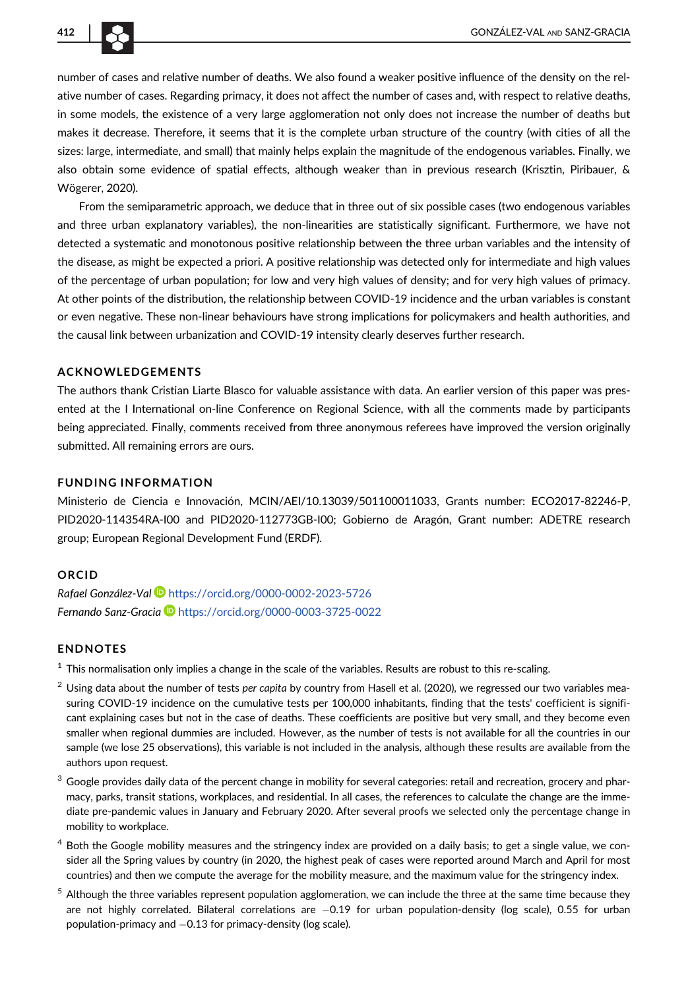

number of cases and relative number of deaths. We also found a weaker positive influence of the density on the relative number of cases. Regarding primacy, it does not affect the number of cases and, with respect to relative deaths, in some models, the existence of a very large agglomeration not only does not increase the number of deaths but makes it decrease. Therefore, it seems that it is the complete urban structure of the country (with cities of all the sizes: large, intermediate, and small) that mainly helps explain the magnitude of the endogenous variables. Finally, we also obtain some evidence of spatial effects, although weaker than in previous research (Krisztin, Piribauer, & Wögerer, 2020).

From the semiparametric approach, we deduce that in three out of six possible cases (two endogenous variables and three urban explanatory variables), the non-linearities are statistically significant. Furthermore, we have not detected a systematic and monotonous positive relationship between the three urban variables and the intensity of the disease, as might be expected a priori. A positive relationship was detected only for intermediate and high values of the percentage of urban population; for low and very high values of density; and for very high values of primacy. At other points of the distribution, the relationship between COVID-19 incidence and the urban variables is constant or even negative. These non-linear behaviours have strong implications for policymakers and health authorities, and the causal link between urbanization and COVID-19 intensity clearly deserves further research.

#### ACKNOWLEDGEMENTS

The authors thank Cristian Liarte Blasco for valuable assistance with data. An earlier version of this paper was presented at the I International on-line Conference on Regional Science, with all the comments made by participants being appreciated. Finally, comments received from three anonymous referees have improved the version originally submitted. All remaining errors are ours.

#### FUNDING INFORMATION

Ministerio de Ciencia e Innovación, MCIN/AEI/[10.13039/501100011033,](https://doi.org/10.13039/501100011033) Grants number: ECO2017-82246-P, PID2020-114354RA-I00 and PID2020-112773GB-I00; Gobierno de Aragón, Grant number: ADETRE research group; European Regional Development Fund (ERDF).

#### ORCID

Rafael González-Val D <https://orcid.org/0000-0002-2023-5726> Fernando Sanz-Gracia D <https://orcid.org/0000-0003-3725-0022>

#### ENDNOTES

 $1$  This normalisation only implies a change in the scale of the variables. Results are robust to this re-scaling.

- $2$  Using data about the number of tests per capita by country from Hasell et al. (2020), we regressed our two variables measuring COVID-19 incidence on the cumulative tests per 100,000 inhabitants, finding that the tests' coefficient is significant explaining cases but not in the case of deaths. These coefficients are positive but very small, and they become even smaller when regional dummies are included. However, as the number of tests is not available for all the countries in our sample (we lose 25 observations), this variable is not included in the analysis, although these results are available from the authors upon request.
- Google provides daily data of the percent change in mobility for several categories: retail and recreation, grocery and pharmacy, parks, transit stations, workplaces, and residential. In all cases, the references to calculate the change are the immediate pre-pandemic values in January and February 2020. After several proofs we selected only the percentage change in mobility to workplace.
- <sup>4</sup> Both the Google mobility measures and the stringency index are provided on a daily basis; to get a single value, we consider all the Spring values by country (in 2020, the highest peak of cases were reported around March and April for most countries) and then we compute the average for the mobility measure, and the maximum value for the stringency index.
- Although the three variables represent population agglomeration, we can include the three at the same time because they are not highly correlated. Bilateral correlations are -0.19 for urban population-density (log scale), 0.55 for urban population-primacy and  $-0.13$  for primacy-density (log scale).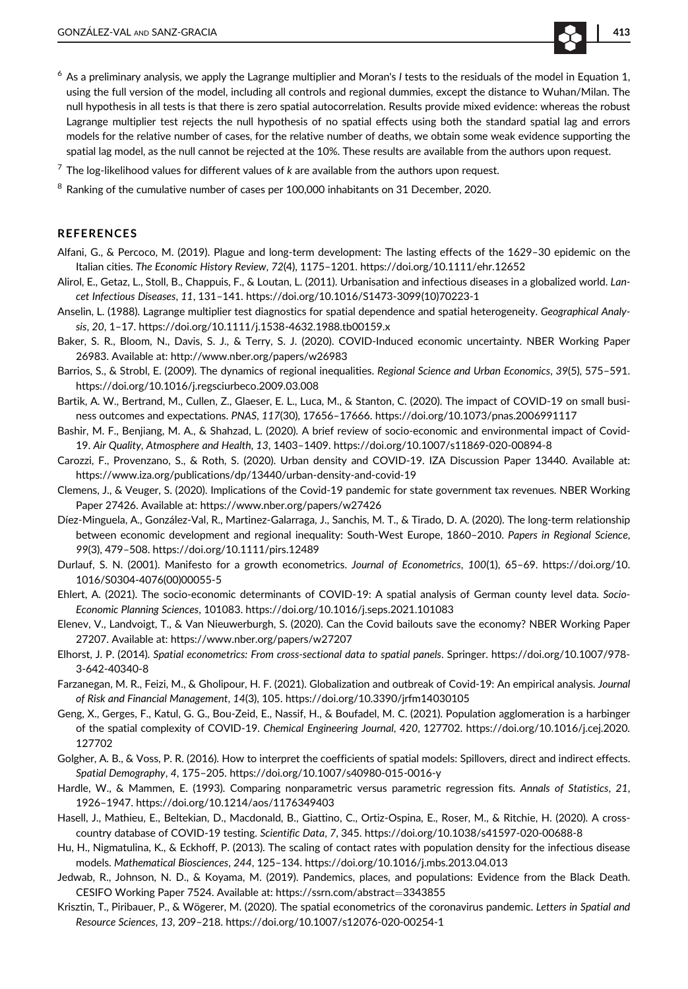- $6$  As a preliminary analysis, we apply the Lagrange multiplier and Moran's I tests to the residuals of the model in Equation 1, using the full version of the model, including all controls and regional dummies, except the distance to Wuhan/Milan. The null hypothesis in all tests is that there is zero spatial autocorrelation. Results provide mixed evidence: whereas the robust Lagrange multiplier test rejects the null hypothesis of no spatial effects using both the standard spatial lag and errors models for the relative number of cases, for the relative number of deaths, we obtain some weak evidence supporting the spatial lag model, as the null cannot be rejected at the 10%. These results are available from the authors upon request.
- $7$  The log-likelihood values for different values of k are available from the authors upon request.
- <sup>8</sup> Ranking of the cumulative number of cases per 100,000 inhabitants on 31 December, 2020.

#### **REFERENCES**

- Alfani, G., & Percoco, M. (2019). Plague and long-term development: The lasting effects of the 1629–30 epidemic on the Italian cities. The Economic History Review, 72(4), 1175–1201.<https://doi.org/10.1111/ehr.12652>
- Alirol, E., Getaz, L., Stoll, B., Chappuis, F., & Loutan, L. (2011). Urbanisation and infectious diseases in a globalized world. Lancet Infectious Diseases, 11, 131–141. [https://doi.org/10.1016/S1473-3099\(10\)70223-1](https://doi.org/10.1016/S1473-3099(10)70223-1)
- Anselin, L. (1988). Lagrange multiplier test diagnostics for spatial dependence and spatial heterogeneity. Geographical Analysis, 20, 1–17.<https://doi.org/10.1111/j.1538-4632.1988.tb00159.x>
- Baker, S. R., Bloom, N., Davis, S. J., & Terry, S. J. (2020). COVID-Induced economic uncertainty. NBER Working Paper 26983. Available at:<http://www.nber.org/papers/w26983>
- Barrios, S., & Strobl, E. (2009). The dynamics of regional inequalities. Regional Science and Urban Economics, 39(5), 575–591. <https://doi.org/10.1016/j.regsciurbeco.2009.03.008>
- Bartik, A. W., Bertrand, M., Cullen, Z., Glaeser, E. L., Luca, M., & Stanton, C. (2020). The impact of COVID-19 on small business outcomes and expectations. PNAS, 117(30), 17656–17666.<https://doi.org/10.1073/pnas.2006991117>
- Bashir, M. F., Benjiang, M. A., & Shahzad, L. (2020). A brief review of socio-economic and environmental impact of Covid-19. Air Quality, Atmosphere and Health, 13, 1403–1409.<https://doi.org/10.1007/s11869-020-00894-8>
- Carozzi, F., Provenzano, S., & Roth, S. (2020). Urban density and COVID-19. IZA Discussion Paper 13440. Available at: <https://www.iza.org/publications/dp/13440/urban-density-and-covid-19>
- Clemens, J., & Veuger, S. (2020). Implications of the Covid-19 pandemic for state government tax revenues. NBER Working Paper 27426. Available at:<https://www.nber.org/papers/w27426>
- Díez-Minguela, A., González-Val, R., Martinez-Galarraga, J., Sanchis, M. T., & Tirado, D. A. (2020). The long-term relationship between economic development and regional inequality: South-West Europe, 1860–2010. Papers in Regional Science, 99(3), 479–508.<https://doi.org/10.1111/pirs.12489>
- Durlauf, S. N. (2001). Manifesto for a growth econometrics. Journal of Econometrics, 100(1), 65–69. [https://doi.org/10.](https://doi.org/10.1016/S0304-4076(00)00055-5) [1016/S0304-4076\(00\)00055-5](https://doi.org/10.1016/S0304-4076(00)00055-5)
- Ehlert, A. (2021). The socio-economic determinants of COVID-19: A spatial analysis of German county level data. Socio-Economic Planning Sciences, 101083.<https://doi.org/10.1016/j.seps.2021.101083>
- Elenev, V., Landvoigt, T., & Van Nieuwerburgh, S. (2020). Can the Covid bailouts save the economy? NBER Working Paper 27207. Available at:<https://www.nber.org/papers/w27207>
- Elhorst, J. P. (2014). Spatial econometrics: From cross-sectional data to spatial panels. Springer. [https://doi.org/10.1007/978-](https://doi.org/10.1007/978-3-642-40340-8) [3-642-40340-8](https://doi.org/10.1007/978-3-642-40340-8)
- Farzanegan, M. R., Feizi, M., & Gholipour, H. F. (2021). Globalization and outbreak of Covid-19: An empirical analysis. Journal of Risk and Financial Management, 14(3), 105.<https://doi.org/10.3390/jrfm14030105>
- Geng, X., Gerges, F., Katul, G. G., Bou-Zeid, E., Nassif, H., & Boufadel, M. C. (2021). Population agglomeration is a harbinger of the spatial complexity of COVID-19. Chemical Engineering Journal, 420, 127702. [https://doi.org/10.1016/j.cej.2020.](https://doi.org/10.1016/j.cej.2020.127702) [127702](https://doi.org/10.1016/j.cej.2020.127702)
- Golgher, A. B., & Voss, P. R. (2016). How to interpret the coefficients of spatial models: Spillovers, direct and indirect effects. Spatial Demography, 4, 175–205.<https://doi.org/10.1007/s40980-015-0016-y>
- Hardle, W., & Mammen, E. (1993). Comparing nonparametric versus parametric regression fits. Annals of Statistics, 21, 1926–1947.<https://doi.org/10.1214/aos/1176349403>
- Hasell, J., Mathieu, E., Beltekian, D., Macdonald, B., Giattino, C., Ortiz-Ospina, E., Roser, M., & Ritchie, H. (2020). A crosscountry database of COVID-19 testing. Scientific Data, 7, 345.<https://doi.org/10.1038/s41597-020-00688-8>
- Hu, H., Nigmatulina, K., & Eckhoff, P. (2013). The scaling of contact rates with population density for the infectious disease models. Mathematical Biosciences, 244, 125–134.<https://doi.org/10.1016/j.mbs.2013.04.013>
- Jedwab, R., Johnson, N. D., & Koyama, M. (2019). Pandemics, places, and populations: Evidence from the Black Death. CESIFO Working Paper 7524. Available at: [https://ssrn.com/abstract](https://ssrn.com/abstract=3343855)=3343855
- Krisztin, T., Piribauer, P., & Wögerer, M. (2020). The spatial econometrics of the coronavirus pandemic. Letters in Spatial and Resource Sciences, 13, 209–218.<https://doi.org/10.1007/s12076-020-00254-1>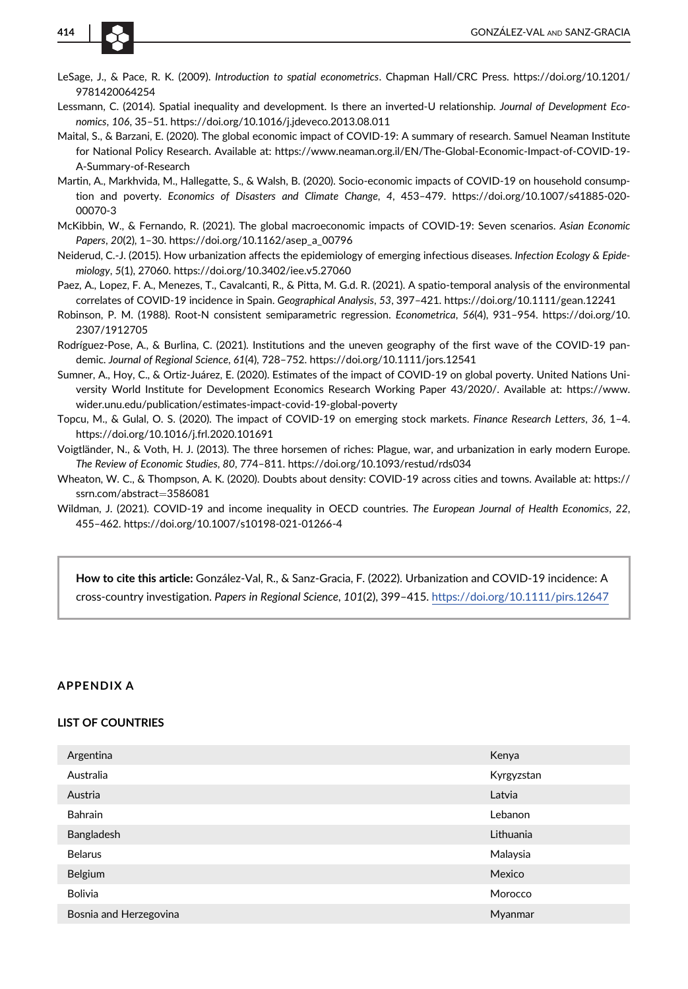

- LeSage, J., & Pace, R. K. (2009). Introduction to spatial econometrics. Chapman Hall/CRC Press. [https://doi.org/10.1201/](https://doi.org/10.1201/9781420064254) [9781420064254](https://doi.org/10.1201/9781420064254)
- Lessmann, C. (2014). Spatial inequality and development. Is there an inverted-U relationship. Journal of Development Economics, 106, 35–51.<https://doi.org/10.1016/j.jdeveco.2013.08.011>
- Maital, S., & Barzani, E. (2020). The global economic impact of COVID-19: A summary of research. Samuel Neaman Institute for National Policy Research. Available at: [https://www.neaman.org.il/EN/The-Global-Economic-Impact-of-COVID-19-](https://www.neaman.org.il/EN/The-Global-Economic-Impact-of-COVID-19-A-Summary-of-Research) [A-Summary-of-Research](https://www.neaman.org.il/EN/The-Global-Economic-Impact-of-COVID-19-A-Summary-of-Research)
- Martin, A., Markhvida, M., Hallegatte, S., & Walsh, B. (2020). Socio-economic impacts of COVID-19 on household consumption and poverty. Economics of Disasters and Climate Change, 4, 453–479. [https://doi.org/10.1007/s41885-020-](https://doi.org/10.1007/s41885-020-00070-3) [00070-3](https://doi.org/10.1007/s41885-020-00070-3)
- McKibbin, W., & Fernando, R. (2021). The global macroeconomic impacts of COVID-19: Seven scenarios. Asian Economic Papers, 20(2), 1–30. [https://doi.org/10.1162/asep\\_a\\_00796](https://doi.org/10.1162/asep_a_00796)
- Neiderud, C.-J. (2015). How urbanization affects the epidemiology of emerging infectious diseases. Infection Ecology & Epidemiology, 5(1), 27060.<https://doi.org/10.3402/iee.v5.27060>
- Paez, A., Lopez, F. A., Menezes, T., Cavalcanti, R., & Pitta, M. G.d. R. (2021). A spatio-temporal analysis of the environmental correlates of COVID-19 incidence in Spain. Geographical Analysis, 53, 397–421.<https://doi.org/10.1111/gean.12241>
- Robinson, P. M. (1988). Root-N consistent semiparametric regression. Econometrica, 56(4), 931–954. [https://doi.org/10.](https://doi.org/10.2307/1912705) [2307/1912705](https://doi.org/10.2307/1912705)
- Rodríguez-Pose, A., & Burlina, C. (2021). Institutions and the uneven geography of the first wave of the COVID-19 pandemic. Journal of Regional Science, 61(4), 728–752.<https://doi.org/10.1111/jors.12541>
- Sumner, A., Hoy, C., & Ortiz-Juárez, E. (2020). Estimates of the impact of COVID-19 on global poverty. United Nations University World Institute for Development Economics Research Working Paper 43/2020/. Available at: [https://www.](https://www.wider.unu.edu/publication/estimates-impact-covid-19-global-poverty) [wider.unu.edu/publication/estimates-impact-covid-19-global-poverty](https://www.wider.unu.edu/publication/estimates-impact-covid-19-global-poverty)
- Topcu, M., & Gulal, O. S. (2020). The impact of COVID-19 on emerging stock markets. Finance Research Letters, 36, 1–4. <https://doi.org/10.1016/j.frl.2020.101691>
- Voigtländer, N., & Voth, H. J. (2013). The three horsemen of riches: Plague, war, and urbanization in early modern Europe. The Review of Economic Studies, 80, 774–811.<https://doi.org/10.1093/restud/rds034>
- Wheaton, W. C., & Thompson, A. K. (2020). Doubts about density: COVID-19 across cities and towns. Available at: [https://](https://ssrn.com/abstract=3586081) [ssrn.com/abstract](https://ssrn.com/abstract=3586081)=3586081
- Wildman, J. (2021). COVID-19 and income inequality in OECD countries. The European Journal of Health Economics, 22, 455–462.<https://doi.org/10.1007/s10198-021-01266-4>

How to cite this article: González-Val, R., & Sanz-Gracia, F. (2022). Urbanization and COVID-19 incidence: A cross-country investigation. Papers in Regional Science, 101(2), 399–415. <https://doi.org/10.1111/pirs.12647>

#### APPENDIX A

#### LIST OF COUNTRIES

| Argentina              | Kenya      |
|------------------------|------------|
| Australia              | Kyrgyzstan |
| Austria                | Latvia     |
| <b>Bahrain</b>         | Lebanon    |
| Bangladesh             | Lithuania  |
| <b>Belarus</b>         | Malaysia   |
| Belgium                | Mexico     |
| <b>Bolivia</b>         | Morocco    |
| Bosnia and Herzegovina | Myanmar    |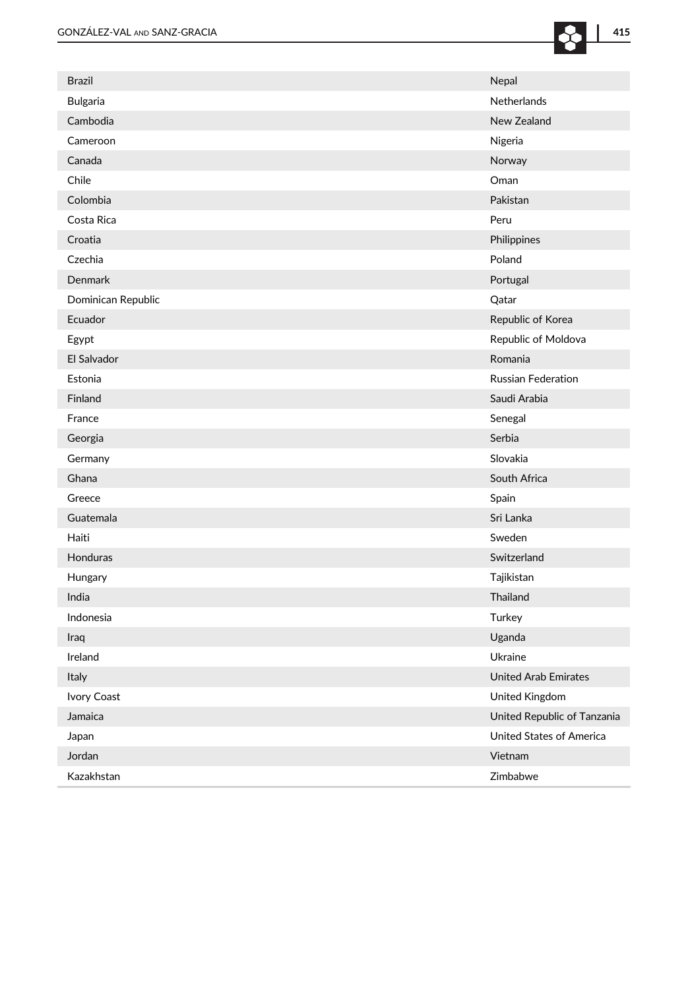| <b>Brazil</b>      | Nepal                           |
|--------------------|---------------------------------|
| Bulgaria           | Netherlands                     |
| Cambodia           | New Zealand                     |
| Cameroon           | Nigeria                         |
| Canada             | Norway                          |
| Chile              | Oman                            |
| Colombia           | Pakistan                        |
| Costa Rica         | Peru                            |
| Croatia            | Philippines                     |
| Czechia            | Poland                          |
| <b>Denmark</b>     | Portugal                        |
| Dominican Republic | Qatar                           |
| Ecuador            | Republic of Korea               |
| Egypt              | Republic of Moldova             |
| El Salvador        | Romania                         |
| Estonia            | <b>Russian Federation</b>       |
| Finland            | Saudi Arabia                    |
| France             | Senegal                         |
| Georgia            | Serbia                          |
| Germany            | Slovakia                        |
| Ghana              | South Africa                    |
| Greece             | Spain                           |
| Guatemala          | Sri Lanka                       |
| Haiti              | Sweden                          |
| Honduras           | Switzerland                     |
| Hungary            | Tajikistan                      |
| India              | Thailand                        |
| Indonesia          | Turkey                          |
| Iraq               | Uganda                          |
| Ireland            | Ukraine                         |
| Italy              | <b>United Arab Emirates</b>     |
| Ivory Coast        | United Kingdom                  |
| Jamaica            | United Republic of Tanzania     |
| Japan              | <b>United States of America</b> |
| Jordan             | Vietnam                         |
| Kazakhstan         | Zimbabwe                        |